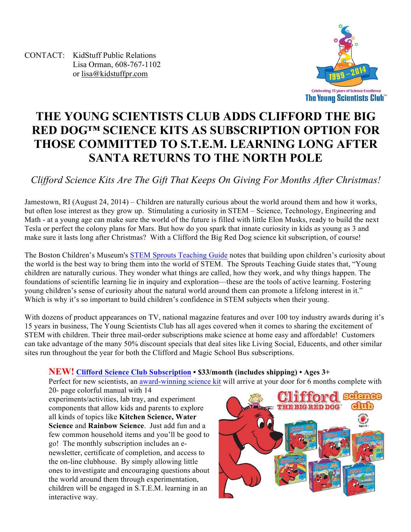CONTACT: KidStuff Public Relations Lisa Orman, 608-767-1102 or lisa@kidstuffpr.com



# **THE YOUNG SCIENTISTS CLUB ADDS CLIFFORD THE BIG RED DOG™ SCIENCE KITS AS SUBSCRIPTION OPTION FOR THOSE COMMITTED TO S.T.E.M. LEARNING LONG AFTER SANTA RETURNS TO THE NORTH POLE**

# *Clifford Science Kits Are The Gift That Keeps On Giving For Months After Christmas!*

Jamestown, RI (August 24, 2014) – Children are naturally curious about the world around them and how it works, but often lose interest as they grow up. Stimulating a curiosity in STEM – Science, Technology, Engineering and Math - at a young age can make sure the world of the future is filled with little Elon Musks, ready to build the next Tesla or perfect the colony plans for Mars. But how do you spark that innate curiosity in kids as young as 3 and make sure it lasts long after Christmas? With a Clifford the Big Red Dog science kit subscription, of course!

The Boston Children's Museum's STEM Sprouts Teaching Guide notes that building upon children's curiosity about the world is the best way to bring them into the world of STEM. The Sprouts Teaching Guide states that, "Young children are naturally curious. They wonder what things are called, how they work, and why things happen. The foundations of scientific learning lie in inquiry and exploration—these are the tools of active learning. Fostering young children's sense of curiosity about the natural world around them can promote a lifelong interest in it." Which is why it's so important to build children's confidence in STEM subjects when their young.

With dozens of product appearances on TV, national magazine features and over 100 toy industry awards during it's 15 years in business, The Young Scientists Club has all ages covered when it comes to sharing the excitement of STEM with children. Their three mail-order subscriptions make science at home easy and affordable! Customers can take advantage of the many 50% discount specials that deal sites like Living Social, Educents, and other similar sites run throughout the year for both the Clifford and Magic School Bus subscriptions.

# **NEW! Clifford Science Club Subscription • \$33/month (includes shipping) • Ages 3+**

Perfect for new scientists, an award-winning science kit will arrive at your door for 6 months complete with 20- page colorful manual with 14

experiments/activities, lab tray, and experiment components that allow kids and parents to explore all kinds of topics like **Kitchen Science, Water Science** and **Rainbow Science**. Just add fun and a few common household items and you'll be good to go! The monthly subscription includes an enewsletter, certificate of completion, and access to the on-line clubhouse. By simply allowing little ones to investigate and encouraging questions about the world around them through experimentation, children will be engaged in S.T.E.M. learning in an interactive way.

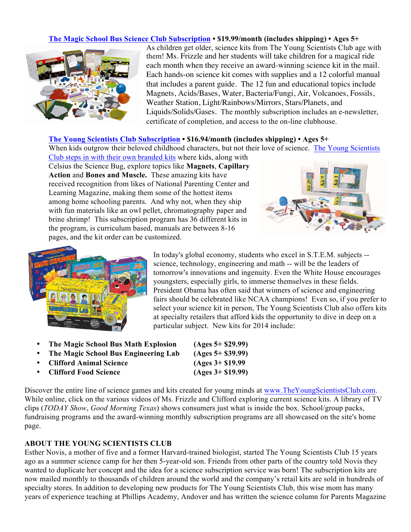## **The Magic School Bus Science Club Subscription • \$19.99/month (includes shipping) • Ages 5+**



As children get older, science kits from The Young Scientists Club age with them! Ms. Frizzle and her students will take children for a magical ride each month when they receive an award-winning science kit in the mail. Each hands-on science kit comes with supplies and a 12 colorful manual that includes a parent guide. The 12 fun and educational topics include Magnets, Acids/Bases, Water, Bacteria/Fungi, Air, Volcanoes, Fossils, Weather Station, Light/Rainbows/Mirrors, Stars/Planets, and Liquids/Solids/Gases. The monthly subscription includes an e-newsletter, certificate of completion, and access to the on-line clubhouse.

#### **The Young Scientists Club Subscription • \$16.94/month (includes shipping) • Ages 5+**

When kids outgrow their beloved childhood characters, but not their love of science. The Young Scientists

Club steps in with their own branded kits where kids, along with Celsius the Science Bug, explore topics like **Magnets**, **Capillary Action** and **Bones and Muscle.** These amazing kits have received recognition from likes of National Parenting Center and Learning Magazine, making them some of the hottest items among home schooling parents. And why not, when they ship with fun materials like an owl pellet, chromatography paper and brine shrimp! This subscription program has 36 different kits in the program, is curriculum based, manuals are between 8-16 pages, and the kit order can be customized.





In today's global economy, students who excel in S.T.E.M. subjects - science, technology, engineering and math -- will be the leaders of tomorrow's innovations and ingenuity. Even the White House encourages youngsters, especially girls, to immerse themselves in these fields. President Obama has often said that winners of science and engineering fairs should be celebrated like NCAA champions! Even so, if you prefer to select your science kit in person, The Young Scientists Club also offers kits at specialty retailers that afford kids the opportunity to dive in deep on a particular subject. New kits for 2014 include:

- **The Magic School Bus Math Explosion (Ages 5+ \$29.99)**
- **The Magic School Bus Engineering Lab (Ages 5+ \$39.99)**
- **Clifford Animal Science (Ages 3+ \$19.99**
- **Clifford Food Science (Ages 3+ \$19.99)**

Discover the entire line of science games and kits created for young minds at www.TheYoungScientistsClub.com. While online, click on the various videos of Ms. Frizzle and Clifford exploring current science kits. A library of TV clips (*TODAY Show*, *Good Morning Texas*) shows consumers just what is inside the box. School/group packs, fundraising programs and the award-winning monthly subscription programs are all showcased on the site's home page.

## **ABOUT THE YOUNG SCIENTISTS CLUB**

Esther Novis, a mother of five and a former Harvard-trained biologist, started The Young Scientists Club 15 years ago as a summer science camp for her then 5-year-old son. Friends from other parts of the country told Novis they wanted to duplicate her concept and the idea for a science subscription service was born! The subscription kits are now mailed monthly to thousands of children around the world and the company's retail kits are sold in hundreds of specialty stores. In addition to developing new products for The Young Scientists Club, this wise mom has many years of experience teaching at Phillips Academy, Andover and has written the science column for Parents Magazine